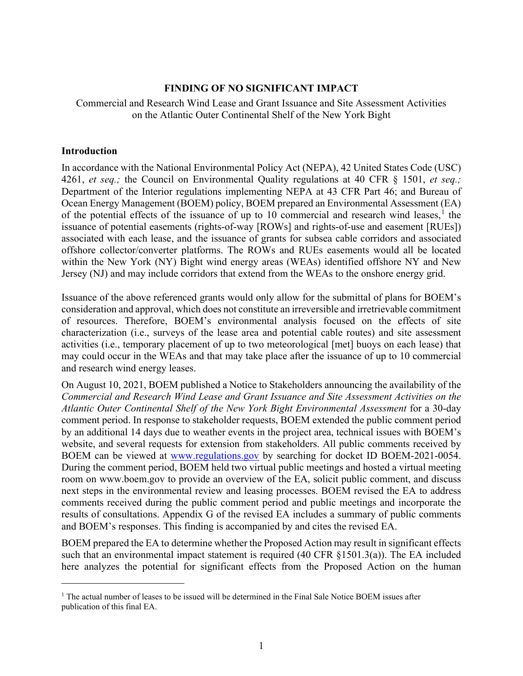#### **FINDING OF NO SIGNIFICANT IMPACT**

Commercial and Research Wind Lease and Grant Issuance and Site Assessment Activities on the Atlantic Outer Continental Shelf of the New York Bight

#### **Introduction**

In accordance with the National Environmental Policy Act (NEPA), 42 United States Code (USC) 4261, *et seq.;* the Council on Environmental Quality regulations at 40 CFR § 1501, *et seq.;* Department of the Interior regulations implementing NEPA at 43 CFR Part 46; and Bureau of Ocean Energy Management (BOEM) policy, BOEM prepared an Environmental Assessment (EA) of the potential effects of the issuance of up to [1](#page-0-0)0 commercial and research wind leases,<sup>1</sup> the issuance of potential easements (rights-of-way [ROWs] and rights-of-use and easement [RUEs]) associated with each lease, and the issuance of grants for subsea cable corridors and associated offshore collector/converter platforms. The ROWs and RUEs easements would all be located within the New York (NY) Bight wind energy areas (WEAs) identified offshore NY and New Jersey (NJ) and may include corridors that extend from the WEAs to the onshore energy grid.

Issuance of the above referenced grants would only allow for the submittal of plans for BOEM's consideration and approval, which does not constitute an irreversible and irretrievable commitment of resources. Therefore, BOEM's environmental analysis focused on the effects of site characterization (i.e., surveys of the lease area and potential cable routes) and site assessment activities (i.e., temporary placement of up to two meteorological [met] buoys on each lease) that may could occur in the WEAs and that may take place after the issuance of up to 10 commercial and research wind energy leases.

On August 10, 2021, BOEM published a Notice to Stakeholders announcing the availability of the *Commercial and Research Wind Lease and Grant Issuance and Site Assessment Activities on the Atlantic Outer Continental Shelf of the New York Bight Environmental Assessment* for a 30-day comment period. In response to stakeholder requests, BOEM extended the public comment period by an additional 14 days due to weather events in the project area, technical issues with BOEM's website, and several requests for extension from stakeholders. All public comments received by BOEM can be viewed at [www.regulations.gov](http://www.regulations.gov/) by searching for docket ID BOEM-2021-0054. During the comment period, BOEM held two virtual public meetings and hosted a virtual meeting room on www.boem.gov to provide an overview of the EA, solicit public comment, and discuss next steps in the environmental review and leasing processes. BOEM revised the EA to address comments received during the public comment period and public meetings and incorporate the results of consultations. Appendix G of the revised EA includes a summary of public comments and BOEM's responses. This finding is accompanied by and cites the revised EA.

BOEM prepared the EA to determine whether the Proposed Action may result in significant effects such that an environmental impact statement is required (40 CFR §1501.3(a)). The EA included here analyzes the potential for significant effects from the Proposed Action on the human

<span id="page-0-0"></span> $1$  The actual number of leases to be issued will be determined in the Final Sale Notice BOEM issues after publication of this final EA.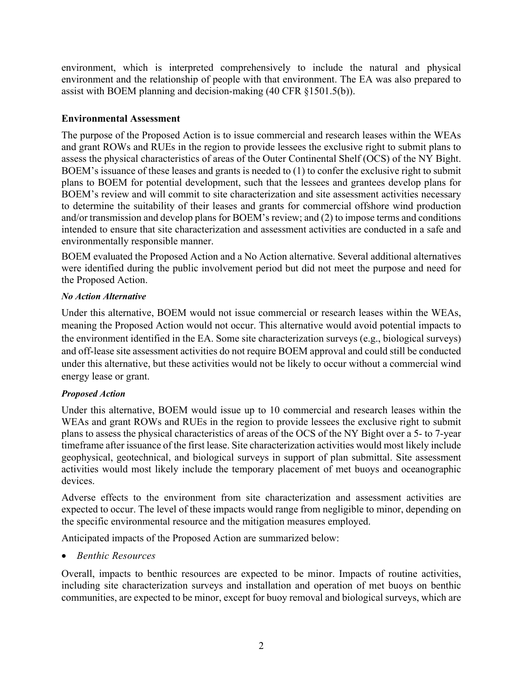environment, which is interpreted comprehensively to include the natural and physical environment and the relationship of people with that environment. The EA was also prepared to assist with BOEM planning and decision-making (40 CFR §1501.5(b)).

### **Environmental Assessment**

The purpose of the Proposed Action is to issue commercial and research leases within the WEAs and grant ROWs and RUEs in the region to provide lessees the exclusive right to submit plans to assess the physical characteristics of areas of the Outer Continental Shelf (OCS) of the NY Bight. BOEM's issuance of these leases and grants is needed to (1) to confer the exclusive right to submit plans to BOEM for potential development, such that the lessees and grantees develop plans for BOEM's review and will commit to site characterization and site assessment activities necessary to determine the suitability of their leases and grants for commercial offshore wind production and/or transmission and develop plans for BOEM's review; and (2) to impose terms and conditions intended to ensure that site characterization and assessment activities are conducted in a safe and environmentally responsible manner.

BOEM evaluated the Proposed Action and a No Action alternative. Several additional alternatives were identified during the public involvement period but did not meet the purpose and need for the Proposed Action.

#### *No Action Alternative*

Under this alternative, BOEM would not issue commercial or research leases within the WEAs, meaning the Proposed Action would not occur. This alternative would avoid potential impacts to the environment identified in the EA. Some site characterization surveys (e.g., biological surveys) and off-lease site assessment activities do not require BOEM approval and could still be conducted under this alternative, but these activities would not be likely to occur without a commercial wind energy lease or grant.

## *Proposed Action*

Under this alternative, BOEM would issue up to 10 commercial and research leases within the WEAs and grant ROWs and RUEs in the region to provide lessees the exclusive right to submit plans to assess the physical characteristics of areas of the OCS of the NY Bight over a 5- to 7-year timeframe after issuance of the first lease. Site characterization activities would most likely include geophysical, geotechnical, and biological surveys in support of plan submittal. Site assessment activities would most likely include the temporary placement of met buoys and oceanographic devices.

Adverse effects to the environment from site characterization and assessment activities are expected to occur. The level of these impacts would range from negligible to minor, depending on the specific environmental resource and the mitigation measures employed.

Anticipated impacts of the Proposed Action are summarized below:

• *Benthic Resources*

Overall, impacts to benthic resources are expected to be minor. Impacts of routine activities, including site characterization surveys and installation and operation of met buoys on benthic communities, are expected to be minor, except for buoy removal and biological surveys, which are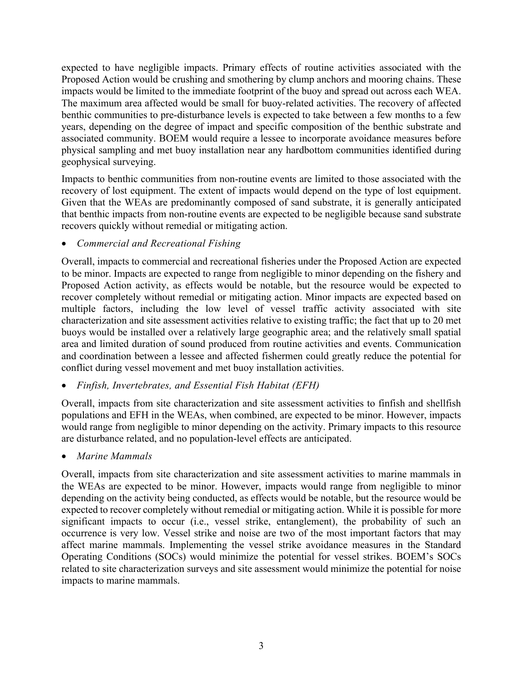expected to have negligible impacts. Primary effects of routine activities associated with the Proposed Action would be crushing and smothering by clump anchors and mooring chains. These impacts would be limited to the immediate footprint of the buoy and spread out across each WEA. The maximum area affected would be small for buoy-related activities. The recovery of affected benthic communities to pre-disturbance levels is expected to take between a few months to a few years, depending on the degree of impact and specific composition of the benthic substrate and associated community. BOEM would require a lessee to incorporate avoidance measures before physical sampling and met buoy installation near any hardbottom communities identified during geophysical surveying.

Impacts to benthic communities from non-routine events are limited to those associated with the recovery of lost equipment. The extent of impacts would depend on the type of lost equipment. Given that the WEAs are predominantly composed of sand substrate, it is generally anticipated that benthic impacts from non-routine events are expected to be negligible because sand substrate recovers quickly without remedial or mitigating action.

# • *Commercial and Recreational Fishing*

Overall, impacts to commercial and recreational fisheries under the Proposed Action are expected to be minor. Impacts are expected to range from negligible to minor depending on the fishery and Proposed Action activity, as effects would be notable, but the resource would be expected to recover completely without remedial or mitigating action. Minor impacts are expected based on multiple factors, including the low level of vessel traffic activity associated with site characterization and site assessment activities relative to existing traffic; the fact that up to 20 met buoys would be installed over a relatively large geographic area; and the relatively small spatial area and limited duration of sound produced from routine activities and events. Communication and coordination between a lessee and affected fishermen could greatly reduce the potential for conflict during vessel movement and met buoy installation activities.

## • *Finfish, Invertebrates, and Essential Fish Habitat (EFH)*

Overall, impacts from site characterization and site assessment activities to finfish and shellfish populations and EFH in the WEAs, when combined, are expected to be minor. However, impacts would range from negligible to minor depending on the activity. Primary impacts to this resource are disturbance related, and no population-level effects are anticipated.

## • *Marine Mammals*

Overall, impacts from site characterization and site assessment activities to marine mammals in the WEAs are expected to be minor. However, impacts would range from negligible to minor depending on the activity being conducted, as effects would be notable, but the resource would be expected to recover completely without remedial or mitigating action. While it is possible for more significant impacts to occur (i.e., vessel strike, entanglement), the probability of such an occurrence is very low. Vessel strike and noise are two of the most important factors that may affect marine mammals. Implementing the vessel strike avoidance measures in the Standard Operating Conditions (SOCs) would minimize the potential for vessel strikes. BOEM's SOCs related to site characterization surveys and site assessment would minimize the potential for noise impacts to marine mammals.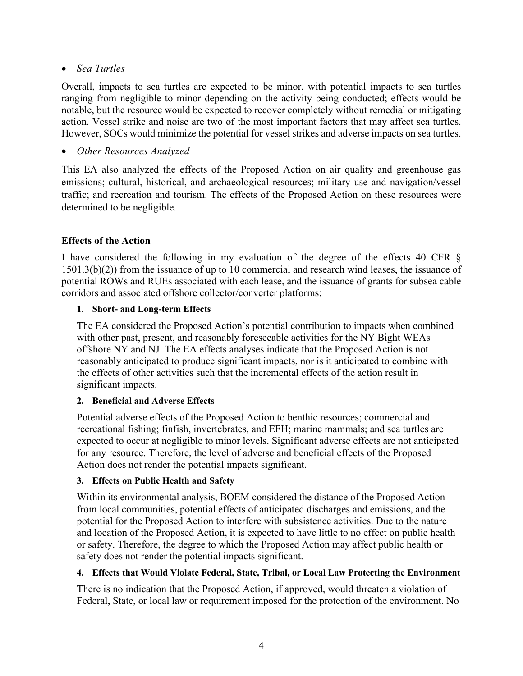## • *Sea Turtles*

Overall, impacts to sea turtles are expected to be minor, with potential impacts to sea turtles ranging from negligible to minor depending on the activity being conducted; effects would be notable, but the resource would be expected to recover completely without remedial or mitigating action. Vessel strike and noise are two of the most important factors that may affect sea turtles. However, SOCs would minimize the potential for vessel strikes and adverse impacts on sea turtles.

## • *Other Resources Analyzed*

This EA also analyzed the effects of the Proposed Action on air quality and greenhouse gas emissions; cultural, historical, and archaeological resources; military use and navigation/vessel traffic; and recreation and tourism. The effects of the Proposed Action on these resources were determined to be negligible.

# **Effects of the Action**

I have considered the following in my evaluation of the degree of the effects 40 CFR § 1501.3(b)(2)) from the issuance of up to 10 commercial and research wind leases, the issuance of potential ROWs and RUEs associated with each lease, and the issuance of grants for subsea cable corridors and associated offshore collector/converter platforms:

## **1. Short- and Long-term Effects**

The EA considered the Proposed Action's potential contribution to impacts when combined with other past, present, and reasonably foreseeable activities for the NY Bight WEAs offshore NY and NJ. The EA effects analyses indicate that the Proposed Action is not reasonably anticipated to produce significant impacts, nor is it anticipated to combine with the effects of other activities such that the incremental effects of the action result in significant impacts.

## **2. Beneficial and Adverse Effects**

Potential adverse effects of the Proposed Action to benthic resources; commercial and recreational fishing; finfish, invertebrates, and EFH; marine mammals; and sea turtles are expected to occur at negligible to minor levels. Significant adverse effects are not anticipated for any resource. Therefore, the level of adverse and beneficial effects of the Proposed Action does not render the potential impacts significant.

## **3. Effects on Public Health and Safety**

Within its environmental analysis, BOEM considered the distance of the Proposed Action from local communities, potential effects of anticipated discharges and emissions, and the potential for the Proposed Action to interfere with subsistence activities. Due to the nature and location of the Proposed Action, it is expected to have little to no effect on public health or safety. Therefore, the degree to which the Proposed Action may affect public health or safety does not render the potential impacts significant.

## **4. Effects that Would Violate Federal, State, Tribal, or Local Law Protecting the Environment**

There is no indication that the Proposed Action, if approved, would threaten a violation of Federal, State, or local law or requirement imposed for the protection of the environment. No